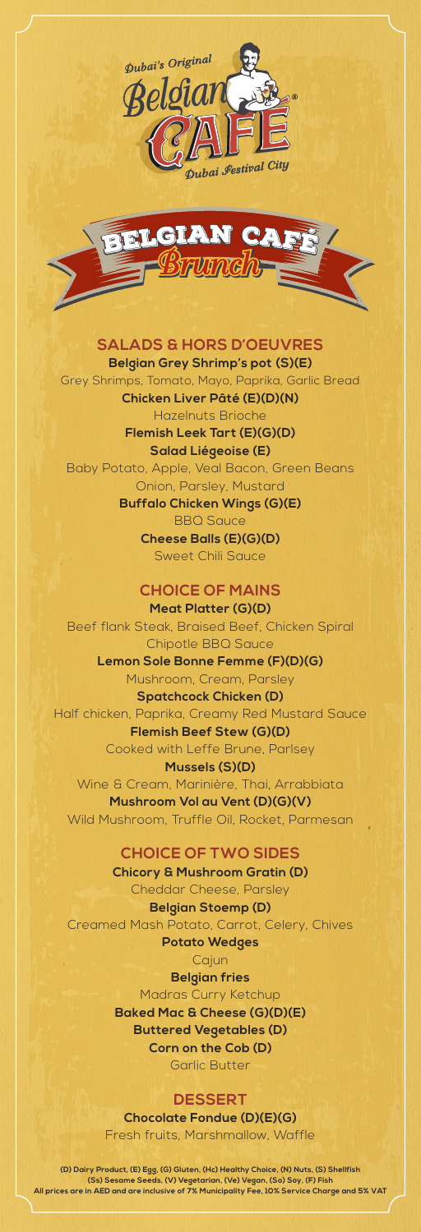



# **SALADS & HORS D'OEUVRES**

**Belgian Grey Shrimp's pot (S)(E)** Grey Shrimps, Tomato, Mayo, Paprika, Garlic Bread **Chicken Liver Pâté (E)(D)(N)** Hazelnuts Brioche **Flemish Leek Tart (E)(G)(D) Salad Liégeoise (E)**

Baby Potato, Apple, Veal Bacon, Green Beans Onion, Parsley, Mustard

> **Buffalo Chicken Wings (G)(E)** BBQ Sauce **Cheese Balls (E)(G)(D)** Sweet Chili Sauce

> > **CHOICE OF MAINS**

**Meat Platter (G)(D)**  Beef flank Steak, Braised Beef, Chicken Spiral Chipotle BBQ Sauce **Lemon Sole Bonne Femme (F)(D)(G)** Mushroom, Cream, Parsley **Spatchcock Chicken (D)** Half chicken, Paprika, Creamy Red Mustard Sauce **Flemish Beef Stew (G)(D)** Cooked with Leffe Brune, Parlsey **Mussels (S)(D)** Wine & Cream, Marinière, Thai, Arrabbiata **Mushroom Vol au Vent (D)(G)(V)** Wild Mushroom, Truffle Oil, Rocket, Parmesan

# **CHOICE OF TWO SIDES**

**Chicory & Mushroom Gratin (D)** Cheddar Cheese, Parsley

**Belgian Stoemp (D)** Creamed Mash Potato, Carrot, Celery, Chives **Potato Wedges**

Cajun

**Belgian fries**

Madras Curry Ketchup **Baked Mac & Cheese (G)(D)(E) Buttered Vegetables (D) Corn on the Cob (D)**

Garlic Butter

## **DESSERT**

**Chocolate Fondue (D)(E)(G)** Fresh fruits, Marshmallow, Waffle

**(D) Dairy Product, (E) Egg, (G) Gluten, (Hc) Healthy Choice, (N) Nuts, (S) Shellfish (Ss) Sesame Seeds, (V) Vegetarian, (Ve) Vegan, (So) Soy, (F) Fish All prices are in AED and are inclusive of 7% Municipality Fee, 10% Service Charge and 5% VAT**